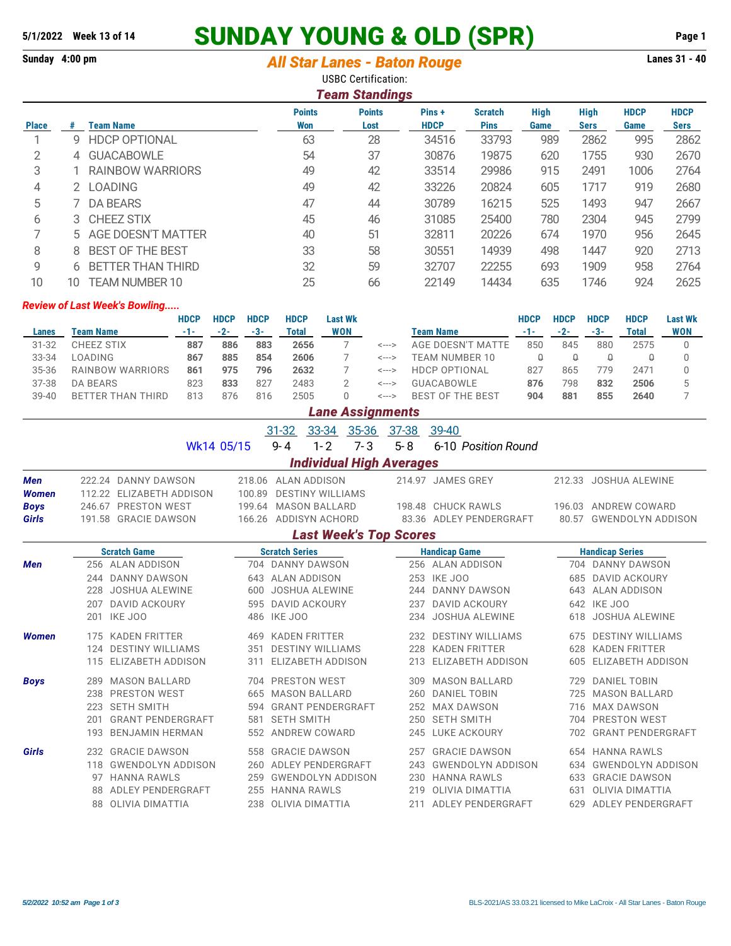# **SUNDAY YOUNG & OLD (SPR) 5/1/2022 Week 13 of 14 Page 1**

### **Sunday 4:00 pm** *All Star Lanes - Baton Rouge* **Lanes 31 - 40** USBC Certification:

|              | <b>Team Standings</b> |                          |               |               |             |                |             |             |             |             |  |  |  |  |
|--------------|-----------------------|--------------------------|---------------|---------------|-------------|----------------|-------------|-------------|-------------|-------------|--|--|--|--|
|              |                       |                          | <b>Points</b> | <b>Points</b> | Pins+       | <b>Scratch</b> | <b>High</b> | <b>High</b> | <b>HDCP</b> | <b>HDCP</b> |  |  |  |  |
| <b>Place</b> | #                     | <b>Team Name</b>         | Won           | Lost          | <b>HDCP</b> | <b>Pins</b>    | Game        | <b>Sers</b> | Game        | <b>Sers</b> |  |  |  |  |
|              | g                     | <b>HDCP OPTIONAL</b>     | 63            | 28            | 34516       | 33793          | 989         | 2862        | 995         | 2862        |  |  |  |  |
| 2            | 4                     | <b>GUACABOWLE</b>        | 54            | 37            | 30876       | 19875          | 620         | 1755        | 930         | 2670        |  |  |  |  |
| 3            |                       | <b>RAINBOW WARRIORS</b>  | 49            | 42            | 33514       | 29986          | 915         | 2491        | 1006        | 2764        |  |  |  |  |
| 4            | 2.                    | <b>LOADING</b>           | 49            | 42            | 33226       | 20824          | 605         | 1717        | 919         | 2680        |  |  |  |  |
| 5            |                       | <b>DA BEARS</b>          | 47            | 44            | 30789       | 16215          | 525         | 1493        | 947         | 2667        |  |  |  |  |
| 6            |                       | 3 CHEEZ STIX             | 45            | 46            | 31085       | 25400          | 780         | 2304        | 945         | 2799        |  |  |  |  |
|              | 5.                    | AGE DOESN'T MATTER       | 40            | 51            | 32811       | 20226          | 674         | 1970        | 956         | 2645        |  |  |  |  |
| 8            | 8                     | <b>BEST OF THE BEST</b>  | 33            | 58            | 30551       | 14939          | 498         | 1447        | 920         | 2713        |  |  |  |  |
| 9            | 6                     | <b>BETTER THAN THIRD</b> | 32            | 59            | 32707       | 22255          | 693         | 1909        | 958         | 2764        |  |  |  |  |
| 10           | 10                    | <b>TEAM NUMBER 10</b>    | 25            | 66            | 22149       | 14434          | 635         | 1746        | 924         | 2625        |  |  |  |  |

#### *Review of Last Week's Bowling.....*

|           |                           | HDCP  | <b>HDCP</b> | <b>HDCP</b> | <b>HDCP</b> | Last Wk    |       |                      | HDCP | <b>HDCP</b> | HDCP | <b>HDCP</b> | Last Wk    |
|-----------|---------------------------|-------|-------------|-------------|-------------|------------|-------|----------------------|------|-------------|------|-------------|------------|
| Lanes     | Team Name                 | $-1-$ | $-2-$       | -3-         | Total       | <b>WON</b> |       | Team Name            |      |             | -3-  | Total       | <b>WON</b> |
| $31 - 32$ | CHEEZ STIX                | 887   | 886         | 883         | 2656        |            | <---> | AGE DOESN'T MATTE    | 850  | 845         | 880  | 2575        |            |
| 33-34     | LOADING                   | 867   | 885         | 854         | 2606        |            | <---> | TEAM NUMBER 10       |      |             |      |             |            |
| $35 - 36$ | RAINBOW WARRIORS          | 861   | 975         | 796         | 2632        |            | <---> | <b>HDCP OPTIONAL</b> | 827  | 865         | 779  | 247         |            |
| 37-38     | DA BEARS                  | 823   | 833         | 827         | 2483        |            | <---> | GUACAROWLE           | 876  | 798         | 832  | 2506        |            |
| $39 - 40$ | THIRD<br>BF1<br>'TFR THAN | 813   | 876         | 816         | 2505        |            | <---> | BEST OF THE BEST     | 904  | 881         | 855  | 2640        |            |

|              | <b>Lane Assignments</b>         |                          |            |                       |                          |         |           |                          |                        |                          |  |  |  |  |
|--------------|---------------------------------|--------------------------|------------|-----------------------|--------------------------|---------|-----------|--------------------------|------------------------|--------------------------|--|--|--|--|
|              |                                 |                          |            | $31 - 32$             | 33-34                    | 35-36   | $37 - 38$ | 39-40                    |                        |                          |  |  |  |  |
|              |                                 |                          | Wk14 05/15 | $9 - 4$               | $1 - 2$                  | $7 - 3$ | $5 - 8$   | 6-10 Position Round      |                        |                          |  |  |  |  |
|              | <b>Individual High Averages</b> |                          |            |                       |                          |         |           |                          |                        |                          |  |  |  |  |
| <b>Men</b>   |                                 | 222.24 DANNY DAWSON      | 218.06     |                       | ALAN ADDISON             |         |           | 214.97 JAMES GREY        |                        | 212.33 JOSHUA ALEWINE    |  |  |  |  |
| <b>Women</b> |                                 | 112.22 ELIZABETH ADDISON | 100.89     |                       | <b>DESTINY WILLIAMS</b>  |         |           |                          |                        |                          |  |  |  |  |
| <b>Boys</b>  |                                 | 246.67 PRESTON WEST      | 199.64     |                       | <b>MASON BALLARD</b>     |         |           | 198.48 CHUCK RAWLS       |                        | 196.03 ANDREW COWARD     |  |  |  |  |
| Girls        |                                 | 191.58 GRACIE DAWSON     |            |                       | 166.26 ADDISYN ACHORD    |         |           | 83.36 ADLEY PENDERGRAFT  | 80.57                  | <b>GWENDOLYN ADDISON</b> |  |  |  |  |
|              | <b>Last Week's Top Scores</b>   |                          |            |                       |                          |         |           |                          |                        |                          |  |  |  |  |
|              |                                 | <b>Scratch Game</b>      |            | <b>Scratch Series</b> |                          |         |           | <b>Handicap Game</b>     | <b>Handicap Series</b> |                          |  |  |  |  |
| <b>Men</b>   |                                 | 256 ALAN ADDISON         |            |                       | 704 DANNY DAWSON         |         |           | 256 ALAN ADDISON         |                        | 704 DANNY DAWSON         |  |  |  |  |
|              |                                 | 244 DANNY DAWSON         | 643        |                       | <b>ALAN ADDISON</b>      |         |           | 253 IKE JOO              | 685                    | <b>DAVID ACKOURY</b>     |  |  |  |  |
|              | 228                             | <b>JOSHUA ALEWINE</b>    | 600        |                       | <b>JOSHUA ALEWINE</b>    |         | 244       | DANNY DAWSON             | 643                    | <b>ALAN ADDISON</b>      |  |  |  |  |
|              | 207                             | <b>DAVID ACKOURY</b>     | 595        |                       | <b>DAVID ACKOURY</b>     |         | 237       | <b>DAVID ACKOURY</b>     | 642                    | <b>IKE JOO</b>           |  |  |  |  |
|              |                                 | 201 IKE JOO              |            | 486 IKE JOO           |                          |         |           | 234 JOSHUA ALEWINE       | 618                    | <b>JOSHUA ALEWINE</b>    |  |  |  |  |
| <b>Women</b> |                                 | 175 KADEN FRITTER        | 469        |                       | <b>KADEN FRITTER</b>     |         | 232       | <b>DESTINY WILLIAMS</b>  | 675                    | <b>DESTINY WILLIAMS</b>  |  |  |  |  |
|              |                                 | 124 DESTINY WILLIAMS     | 351        |                       | <b>DESTINY WILLIAMS</b>  |         | 228       | <b>KADEN FRITTER</b>     | 628                    | <b>KADEN FRITTER</b>     |  |  |  |  |
|              |                                 | 115 ELIZABETH ADDISON    | 311        |                       | ELIZABETH ADDISON        |         | 213       | <b>ELIZABETH ADDISON</b> | 605                    | <b>ELIZABETH ADDISON</b> |  |  |  |  |
| <b>Boys</b>  | 289                             | <b>MASON BALLARD</b>     |            |                       | 704 PRESTON WEST         |         | 309       | <b>MASON BALLARD</b>     | 729                    | <b>DANIEL TOBIN</b>      |  |  |  |  |
|              | 238                             | PRESTON WEST             | 665        |                       | <b>MASON BALLARD</b>     |         | 260       | <b>DANIEL TOBIN</b>      | 725                    | <b>MASON BALLARD</b>     |  |  |  |  |
|              | 223                             | <b>SETH SMITH</b>        | 594        |                       | <b>GRANT PENDERGRAFT</b> |         | 252       | MAX DAWSON               | 716                    | MAX DAWSON               |  |  |  |  |
|              | 201                             | <b>GRANT PENDERGRAFT</b> | 581        | <b>SETH SMITH</b>     |                          |         | 250       | <b>SETH SMITH</b>        | 704                    | <b>PRESTON WEST</b>      |  |  |  |  |
|              | 193                             | <b>BENJAMIN HERMAN</b>   | 552        |                       | ANDREW COWARD            |         | 245       | <b>LUKE ACKOURY</b>      | 702                    | <b>GRANT PENDERGRAFT</b> |  |  |  |  |
| Girls        | 232                             | <b>GRACIE DAWSON</b>     | 558        |                       | <b>GRACIE DAWSON</b>     |         | 257       | <b>GRACIE DAWSON</b>     | 654                    | <b>HANNA RAWLS</b>       |  |  |  |  |
|              | 118                             | <b>GWENDOLYN ADDISON</b> | 260        |                       | <b>ADLEY PENDERGRAFT</b> |         | 243       | <b>GWENDOLYN ADDISON</b> | 634                    | <b>GWENDOLYN ADDISON</b> |  |  |  |  |
|              | 97                              | <b>HANNA RAWLS</b>       | 259        |                       | <b>GWENDOLYN ADDISON</b> |         | 230       | <b>HANNA RAWLS</b>       | 633                    | <b>GRACIE DAWSON</b>     |  |  |  |  |
|              |                                 | ADLEY PENDERGRAFT        | 255        |                       | <b>HANNA RAWLS</b>       |         | 219       | <b>OLIVIA DIMATTIA</b>   | 631                    | <b>OLIVIA DIMATTIA</b>   |  |  |  |  |
|              |                                 | 88 OLIVIA DIMATTIA       | 238        |                       | <b>OLIVIA DIMATTIA</b>   |         | 211       | <b>ADLEY PENDERGRAFT</b> | 629                    | ADLEY PENDERGRAFT        |  |  |  |  |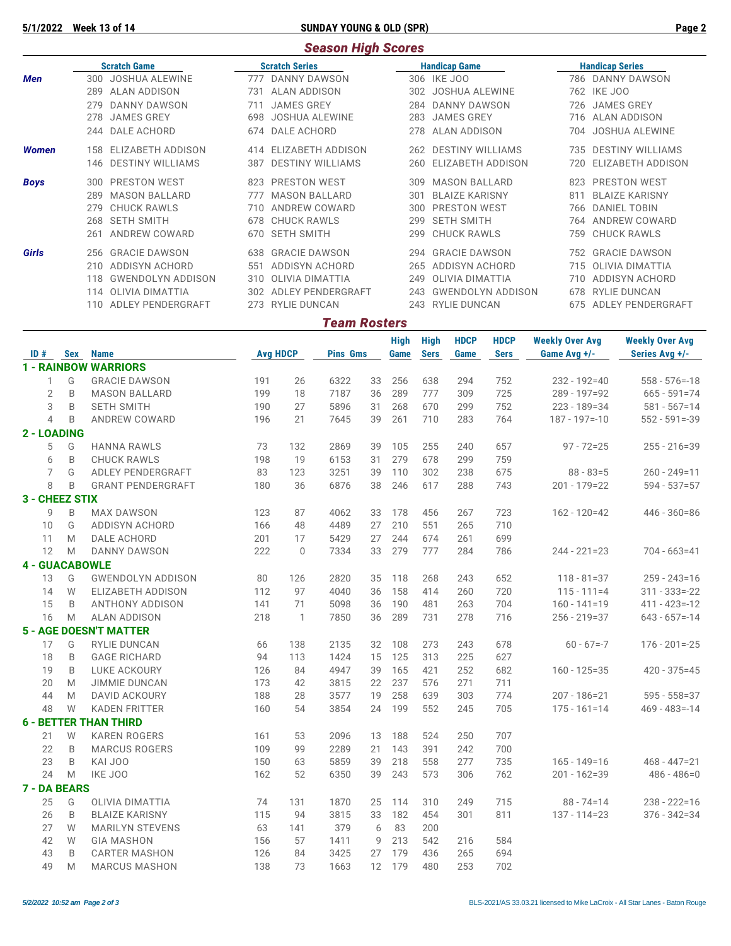**5/1/2022 Week 13 of 14 SUNDAY YOUNG & OLD (SPR) Page 2**

#### *Season High Scores*

|              | <b>Scratch Game</b> |                          |     | <b>Scratch Series</b>   |              | <b>Handicap Game</b>     | <b>Handicap Series</b> |                       |  |  |
|--------------|---------------------|--------------------------|-----|-------------------------|--------------|--------------------------|------------------------|-----------------------|--|--|
| Men          | 300                 | <b>JOSHUA ALEWINE</b>    | 777 | DANNY DAWSON            |              | 306 IKE JOO              | 786                    | DANNY DAWSON          |  |  |
|              | 289                 | ALAN ADDISON             | 731 | ALAN ADDISON            | 302          | <b>JOSHUA ALEWINE</b>    | 762                    | IKE JOO               |  |  |
|              | 279                 | <b>DANNY DAWSON</b>      |     | <b>JAMES GREY</b>       | 284          | DANNY DAWSON             | 726                    | <b>JAMES GREY</b>     |  |  |
|              | 278                 | <b>JAMES GREY</b>        | 698 | <b>JOSHUA ALEWINE</b>   | 283          | <b>JAMES GREY</b>        | 716                    | ALAN ADDISON          |  |  |
|              | 244                 | DALE ACHORD              | 674 | DALE ACHORD             | 278          | ALAN ADDISON             | 704                    | <b>JOSHUA ALEWINE</b> |  |  |
| <b>Women</b> | 158                 | ELIZABETH ADDISON        | 414 | ELIZABETH ADDISON       | 262          | <b>DESTINY WILLIAMS</b>  | 735                    | DESTINY WILLIAMS      |  |  |
|              | 146                 | <b>DESTINY WILLIAMS</b>  | 387 | <b>DESTINY WILLIAMS</b> | 260          | ELIZABETH ADDISON        | 720                    | ELIZABETH ADDISON     |  |  |
| <b>Boys</b>  | 300                 | <b>PRESTON WEST</b>      | 823 | <b>PRESTON WEST</b>     | 309          | <b>MASON BALLARD</b>     | 823                    | <b>PRESTON WEST</b>   |  |  |
|              | 289                 | <b>MASON BALLARD</b>     |     | <b>MASON BALLARD</b>    | $30^{\circ}$ | <b>BLAIZE KARISNY</b>    | 81'                    | <b>BLAIZE KARISNY</b> |  |  |
|              | 279                 | <b>CHUCK RAWLS</b>       |     | ANDREW COWARD           | 300          | <b>PRESTON WEST</b>      | 766                    | <b>DANIEL TOBIN</b>   |  |  |
|              | 268                 | <b>SETH SMITH</b>        | 678 | <b>CHUCK RAWLS</b>      | 299          | <b>SETH SMITH</b>        | 764                    | <b>ANDREW COWARD</b>  |  |  |
|              | 261                 | ANDREW COWARD            | 670 | <b>SETH SMITH</b>       | 299          | <b>CHUCK RAWLS</b>       | 759                    | <b>CHUCK RAWLS</b>    |  |  |
| Girls        | 256                 | <b>GRACIE DAWSON</b>     | 638 | <b>GRACIE DAWSON</b>    | 294          | <b>GRACIE DAWSON</b>     | 752                    | <b>GRACIE DAWSON</b>  |  |  |
|              | 210                 | ADDISYN ACHORD           | 551 | ADDISYN ACHORD          | 265          | ADDISYN ACHORD           | 715                    | OLIVIA DIMATTIA       |  |  |
|              | 118                 | <b>GWENDOLYN ADDISON</b> | 310 | OLIVIA DIMATTIA         | 249          | OLIVIA DIMATTIA          | 710                    | ADDISYN ACHORD        |  |  |
|              | 114                 | OLIVIA DIMATTIA          | 302 | ADLEY PENDERGRAFT       | 243          | <b>GWENDOLYN ADDISON</b> | 678                    | <b>RYLIE DUNCAN</b>   |  |  |
|              | 110                 | ADLEY PENDERGRAFT        | 273 | RYLIE DUNCAN            | 243          | <b>RYLIE DUNCAN</b>      | 675                    | ADLEY PENDERGRAFT     |  |  |

## **High High HDCP HDCP Weekly Over Avg Weekly Over Avg ID Avg HDCP Pins Gms Game Sers Game Sers Game Avg +/- Series Avg +/-**

*Team Rosters*

| ID#                   | <b>Sex</b> | <b>Name</b>                   | <b>Avg HDCP</b> |              | <b>Pins Gms</b> |    | Game | <b>Sers</b> | Game | <b>Sers</b> | Game Avg +/-      | Series Avg +/-    |
|-----------------------|------------|-------------------------------|-----------------|--------------|-----------------|----|------|-------------|------|-------------|-------------------|-------------------|
|                       |            | <b>1 - RAINBOW WARRIORS</b>   |                 |              |                 |    |      |             |      |             |                   |                   |
| 1                     | G          | <b>GRACIE DAWSON</b>          | 191             | 26           | 6322            | 33 | 256  | 638         | 294  | 752         | $232 - 192 = 40$  | $558 - 576 = -18$ |
| $\overline{2}$        | B          | <b>MASON BALLARD</b>          | 199             | 18           | 7187            | 36 | 289  | 777         | 309  | 725         | $289 - 197 = 92$  | $665 - 591 = 74$  |
| 3                     | B          | <b>SETH SMITH</b>             | 190             | 27           | 5896            | 31 | 268  | 670         | 299  | 752         | $223 - 189 = 34$  | $581 - 567 = 14$  |
| $\overline{4}$        | B          | <b>ANDREW COWARD</b>          | 196             | 21           | 7645            | 39 | 261  | 710         | 283  | 764         | $187 - 197 = -10$ | $552 - 591 = -39$ |
| 2 - LOADING           |            |                               |                 |              |                 |    |      |             |      |             |                   |                   |
| 5                     | G          | <b>HANNA RAWLS</b>            | 73              | 132          | 2869            | 39 | 105  | 255         | 240  | 657         | $97 - 72 = 25$    | $255 - 216 = 39$  |
| 6                     | B          | <b>CHUCK RAWLS</b>            | 198             | 19           | 6153            | 31 | 279  | 678         | 299  | 759         |                   |                   |
| 7                     | G          | ADLEY PENDERGRAFT             | 83              | 123          | 3251            | 39 | 110  | 302         | 238  | 675         | $88 - 83 = 5$     | $260 - 249 = 11$  |
| 8                     | B          | <b>GRANT PENDERGRAFT</b>      | 180             | 36           | 6876            | 38 | 246  | 617         | 288  | 743         | $201 - 179 = 22$  | $594 - 537 = 57$  |
| 3 - CHEEZ STIX        |            |                               |                 |              |                 |    |      |             |      |             |                   |                   |
| 9                     | B          | <b>MAX DAWSON</b>             | 123             | 87           | 4062            | 33 | 178  | 456         | 267  | 723         | 162 - 120=42      | $446 - 360 = 86$  |
| 10                    | G          | <b>ADDISYN ACHORD</b>         | 166             | 48           | 4489            | 27 | 210  | 551         | 265  | 710         |                   |                   |
| 11                    | M          | <b>DALE ACHORD</b>            | 201             | 17           | 5429            | 27 | 244  | 674         | 261  | 699         |                   |                   |
| 12                    | M          | <b>DANNY DAWSON</b>           | 222             | $\Omega$     | 7334            | 33 | 279  | 777         | 284  | 786         | $244 - 221 = 23$  | $704 - 663 = 41$  |
| <b>4 - GUACABOWLE</b> |            |                               |                 |              |                 |    |      |             |      |             |                   |                   |
| 13                    | G          | <b>GWENDOLYN ADDISON</b>      | 80              | 126          | 2820            | 35 | 118  | 268         | 243  | 652         | $118 - 81 = 37$   | $259 - 243 = 16$  |
| 14                    | W          | <b>ELIZABETH ADDISON</b>      | 112             | 97           | 4040            | 36 | 158  | 414         | 260  | 720         | $115 - 111 = 4$   | $311 - 333 = -22$ |
| 15                    | B          | ANTHONY ADDISON               | 141             | 71           | 5098            | 36 | 190  | 481         | 263  | 704         | $160 - 141 = 19$  | $411 - 423 = -12$ |
| 16                    | M          | <b>ALAN ADDISON</b>           | 218             | $\mathbf{1}$ | 7850            | 36 | 289  | 731         | 278  | 716         | $256 - 219 = 37$  | $643 - 657 = -14$ |
|                       |            | <b>5 - AGE DOESN'T MATTER</b> |                 |              |                 |    |      |             |      |             |                   |                   |
| 17                    | G          | <b>RYLIE DUNCAN</b>           | 66              | 138          | 2135            | 32 | 108  | 273         | 243  | 678         | $60 - 67 = -7$    | $176 - 201 = -25$ |
| 18                    | B          | <b>GAGE RICHARD</b>           | 94              | 113          | 1424            | 15 | 125  | 313         | 225  | 627         |                   |                   |
| 19                    | B          | <b>LUKE ACKOURY</b>           | 126             | 84           | 4947            | 39 | 165  | 421         | 252  | 682         | $160 - 125 = 35$  | $420 - 375 = 45$  |
| 20                    | M          | <b>JIMMIE DUNCAN</b>          | 173             | 42           | 3815            | 22 | 237  | 576         | 271  | 711         |                   |                   |
| 44                    | M          | <b>DAVID ACKOURY</b>          | 188             | 28           | 3577            | 19 | 258  | 639         | 303  | 774         | $207 - 186 = 21$  | $595 - 558 = 37$  |
| 48                    | W          | <b>KADEN FRITTER</b>          | 160             | 54           | 3854            | 24 | 199  | 552         | 245  | 705         | $175 - 161 = 14$  | $469 - 483 = -14$ |
|                       |            | <b>6 - BETTER THAN THIRD</b>  |                 |              |                 |    |      |             |      |             |                   |                   |
| 21                    | W          | <b>KAREN ROGERS</b>           | 161             | 53           | 2096            | 13 | 188  | 524         | 250  | 707         |                   |                   |
| 22                    | B          | <b>MARCUS ROGERS</b>          | 109             | 99           | 2289            | 21 | 143  | 391         | 242  | 700         |                   |                   |
| 23                    | B          | KAI JOO                       | 150             | 63           | 5859            | 39 | 218  | 558         | 277  | 735         | $165 - 149 = 16$  | $468 - 447 = 21$  |
| 24                    | M          | IKE JOO                       | 162             | 52           | 6350            | 39 | 243  | 573         | 306  | 762         | $201 - 162 = 39$  | $486 - 486 = 0$   |
| <b>7 - DA BEARS</b>   |            |                               |                 |              |                 |    |      |             |      |             |                   |                   |
| 25                    | G          | OLIVIA DIMATTIA               | 74              | 131          | 1870            | 25 | 114  | 310         | 249  | 715         | $88 - 74 = 14$    | $238 - 222 = 16$  |
| 26                    | B          | <b>BLAIZE KARISNY</b>         | 115             | 94           | 3815            | 33 | 182  | 454         | 301  | 811         | $137 - 114 = 23$  | $376 - 342 = 34$  |
| 27                    | W          | <b>MARILYN STEVENS</b>        | 63              | 141          | 379             | 6  | 83   | 200         |      |             |                   |                   |
| 42                    | W          | <b>GIA MASHON</b>             | 156             | 57           | 1411            | 9  | 213  | 542         | 216  | 584         |                   |                   |
| 43                    | B          | <b>CARTER MASHON</b>          | 126             | 84           | 3425            | 27 | 179  | 436         | 265  | 694         |                   |                   |
| 49                    | M          | <b>MARCUS MASHON</b>          | 138             | 73           | 1663            | 12 | 179  | 480         | 253  | 702         |                   |                   |